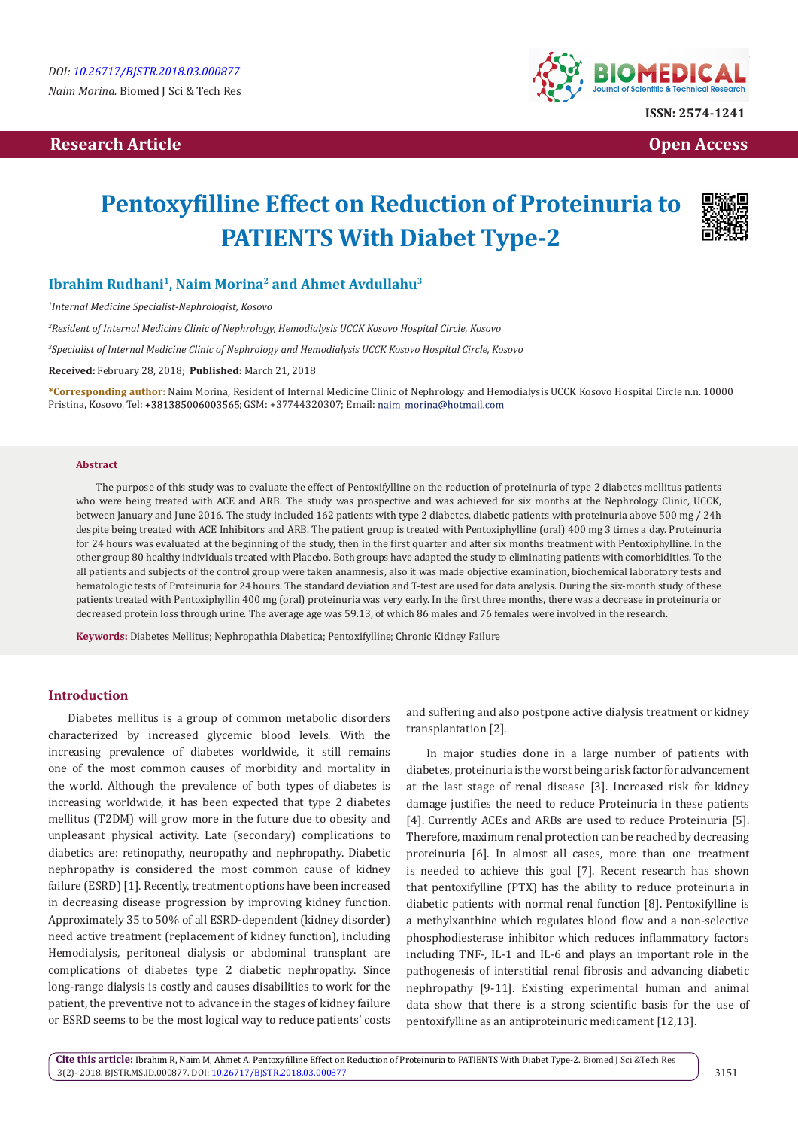## **Research Article Open Access Contract Article Open Access Open Access Open Access**



# **Pentoxyfilline Effect on Reduction of Proteinuria to PATIENTS With Diabet Type-2**



## **Ibrahim Rudhani<sup>1</sup>, Naim Morina2 and Ahmet Avdullahu<sup>3</sup>**

*1 Internal Medicine Specialist-Nephrologist, Kosovo*

*2 Resident of Internal Medicine Clinic of Nephrology, Hemodialysis UCCK Kosovo Hospital Circle, Kosovo*

*3 Specialist of Internal Medicine Clinic of Nephrology and Hemodialysis UCCK Kosovo Hospital Circle, Kosovo*

**Received:** February 28, 2018; **Published:** March 21, 2018

**\*Corresponding author:** Naim Morina, Resident of Internal Medicine Clinic of Nephrology and Hemodialysis UCCK Kosovo Hospital Circle n.n. 10000 Pristina, Kosovo, Tel: +381385006003565; GSM: +37744320307; Email: naim\_morina@hotmail.com

#### **Abstract**

The purpose of this study was to evaluate the effect of Pentoxifylline on the reduction of proteinuria of type 2 diabetes mellitus patients who were being treated with ACE and ARB. The study was prospective and was achieved for six months at the Nephrology Clinic, UCCK, between January and June 2016. The study included 162 patients with type 2 diabetes, diabetic patients with proteinuria above 500 mg / 24h despite being treated with ACE Inhibitors and ARB. The patient group is treated with Pentoxiphylline (oral) 400 mg 3 times a day. Proteinuria for 24 hours was evaluated at the beginning of the study, then in the first quarter and after six months treatment with Pentoxiphylline. In the other group 80 healthy individuals treated with Placebo. Both groups have adapted the study to eliminating patients with comorbidities. To the all patients and subjects of the control group were taken anamnesis, also it was made objective examination, biochemical laboratory tests and hematologic tests of Proteinuria for 24 hours. The standard deviation and T-test are used for data analysis. During the six-month study of these patients treated with Pentoxiphyllin 400 mg (oral) proteinuria was very early. In the first three months, there was a decrease in proteinuria or decreased protein loss through urine. The average age was 59.13, of which 86 males and 76 females were involved in the research.

**Keywords:** Diabetes Mellitus; Nephropathia Diabetica; Pentoxifylline; Chronic Kidney Failure

## **Introduction**

Diabetes mellitus is a group of common metabolic disorders characterized by increased glycemic blood levels. With the increasing prevalence of diabetes worldwide, it still remains one of the most common causes of morbidity and mortality in the world. Although the prevalence of both types of diabetes is increasing worldwide, it has been expected that type 2 diabetes mellitus (T2DM) will grow more in the future due to obesity and unpleasant physical activity. Late (secondary) complications to diabetics are: retinopathy, neuropathy and nephropathy. Diabetic nephropathy is considered the most common cause of kidney failure (ESRD) [1]. Recently, treatment options have been increased in decreasing disease progression by improving kidney function. Approximately 35 to 50% of all ESRD-dependent (kidney disorder) need active treatment (replacement of kidney function), including Hemodialysis, peritoneal dialysis or abdominal transplant are complications of diabetes type 2 diabetic nephropathy. Since long-range dialysis is costly and causes disabilities to work for the patient, the preventive not to advance in the stages of kidney failure or ESRD seems to be the most logical way to reduce patients' costs

and suffering and also postpone active dialysis treatment or kidney transplantation [2].

In major studies done in a large number of patients with diabetes, proteinuria is the worst being a risk factor for advancement at the last stage of renal disease [3]. Increased risk for kidney damage justifies the need to reduce Proteinuria in these patients [4]. Currently ACEs and ARBs are used to reduce Proteinuria [5]. Therefore, maximum renal protection can be reached by decreasing proteinuria [6]. In almost all cases, more than one treatment is needed to achieve this goal [7]. Recent research has shown that pentoxifylline (PTX) has the ability to reduce proteinuria in diabetic patients with normal renal function [8]. Pentoxifylline is a methylxanthine which regulates blood flow and a non-selective phosphodiesterase inhibitor which reduces inflammatory factors including TNF-, IL-1 and IL-6 and plays an important role in the pathogenesis of interstitial renal fibrosis and advancing diabetic nephropathy [9-11]. Existing experimental human and animal data show that there is a strong scientific basis for the use of pentoxifylline as an antiproteinuric medicament [12,13].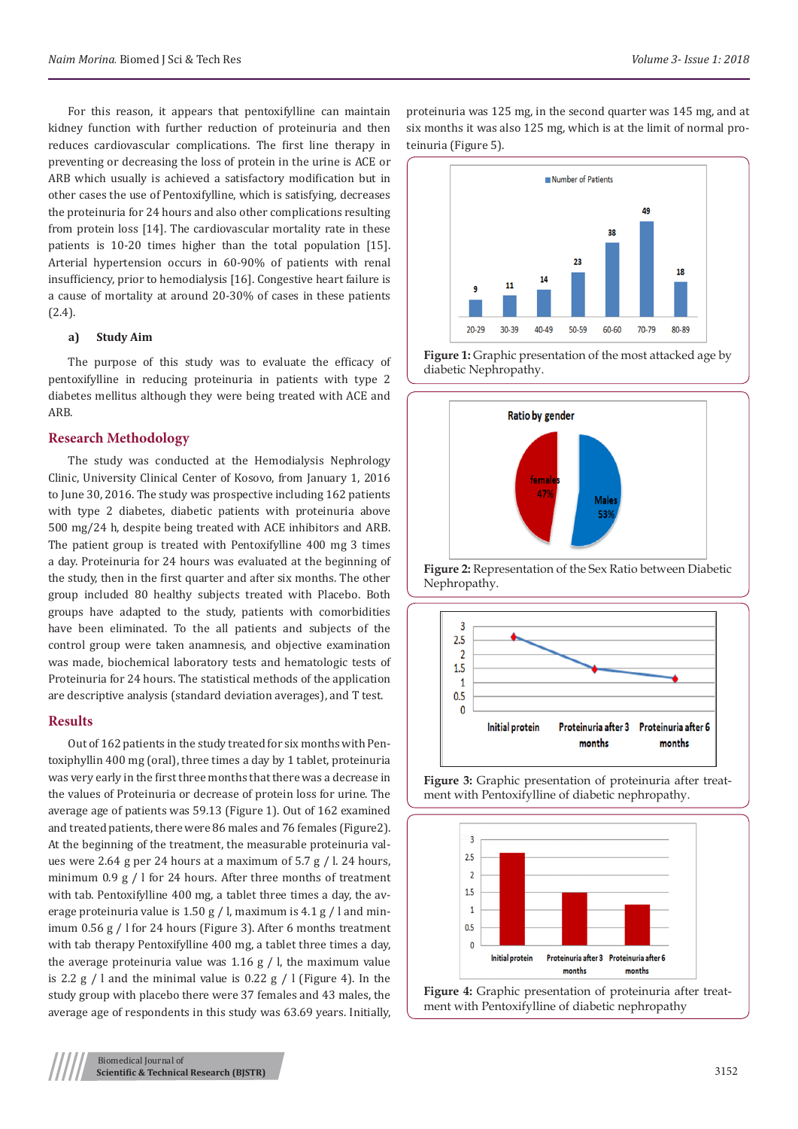For this reason, it appears that pentoxifylline can maintain kidney function with further reduction of proteinuria and then reduces cardiovascular complications. The first line therapy in preventing or decreasing the loss of protein in the urine is ACE or ARB which usually is achieved a satisfactory modification but in other cases the use of Pentoxifylline, which is satisfying, decreases the proteinuria for 24 hours and also other complications resulting from protein loss [14]. The cardiovascular mortality rate in these patients is 10-20 times higher than the total population [15]. Arterial hypertension occurs in 60-90% of patients with renal insufficiency, prior to hemodialysis [16]. Congestive heart failure is a cause of mortality at around 20-30% of cases in these patients (2.4).

#### **a) Study Aim**

The purpose of this study was to evaluate the efficacy of pentoxifylline in reducing proteinuria in patients with type 2 diabetes mellitus although they were being treated with ACE and ARB.

## **Research Methodology**

The study was conducted at the Hemodialysis Nephrology Clinic, University Clinical Center of Kosovo, from January 1, 2016 to June 30, 2016. The study was prospective including 162 patients with type 2 diabetes, diabetic patients with proteinuria above 500 mg/24 h, despite being treated with ACE inhibitors and ARB. The patient group is treated with Pentoxifylline 400 mg 3 times a day. Proteinuria for 24 hours was evaluated at the beginning of the study, then in the first quarter and after six months. The other group included 80 healthy subjects treated with Placebo. Both groups have adapted to the study, patients with comorbidities have been eliminated. To the all patients and subjects of the control group were taken anamnesis, and objective examination was made, biochemical laboratory tests and hematologic tests of Proteinuria for 24 hours. The statistical methods of the application are descriptive analysis (standard deviation averages), and T test.

#### **Results**

Out of 162 patients in the study treated for six months with Pentoxiphyllin 400 mg (oral), three times a day by 1 tablet, proteinuria was very early in the first three months that there was a decrease in the values of Proteinuria or decrease of protein loss for urine. The average age of patients was 59.13 (Figure 1). Out of 162 examined and treated patients, there were 86 males and 76 females (Figure2). At the beginning of the treatment, the measurable proteinuria values were 2.64 g per 24 hours at a maximum of 5.7 g / l. 24 hours, minimum 0.9 g / l for 24 hours. After three months of treatment with tab. Pentoxifylline 400 mg, a tablet three times a day, the average proteinuria value is 1.50 g / l, maximum is 4.1 g / l and minimum 0.56 g / l for 24 hours (Figure 3). After 6 months treatment with tab therapy Pentoxifylline 400 mg, a tablet three times a day, the average proteinuria value was  $1.16 \text{ g}$  / l, the maximum value is 2.2 g / l and the minimal value is  $0.22$  g / l (Figure 4). In the study group with placebo there were 37 females and 43 males, the average age of respondents in this study was 63.69 years. Initially,

proteinuria was 125 mg, in the second quarter was 145 mg, and at six months it was also 125 mg, which is at the limit of normal proteinuria (Figure 5).



**Figure 1:** Graphic presentation of the most attacked age by diabetic Nephropathy.











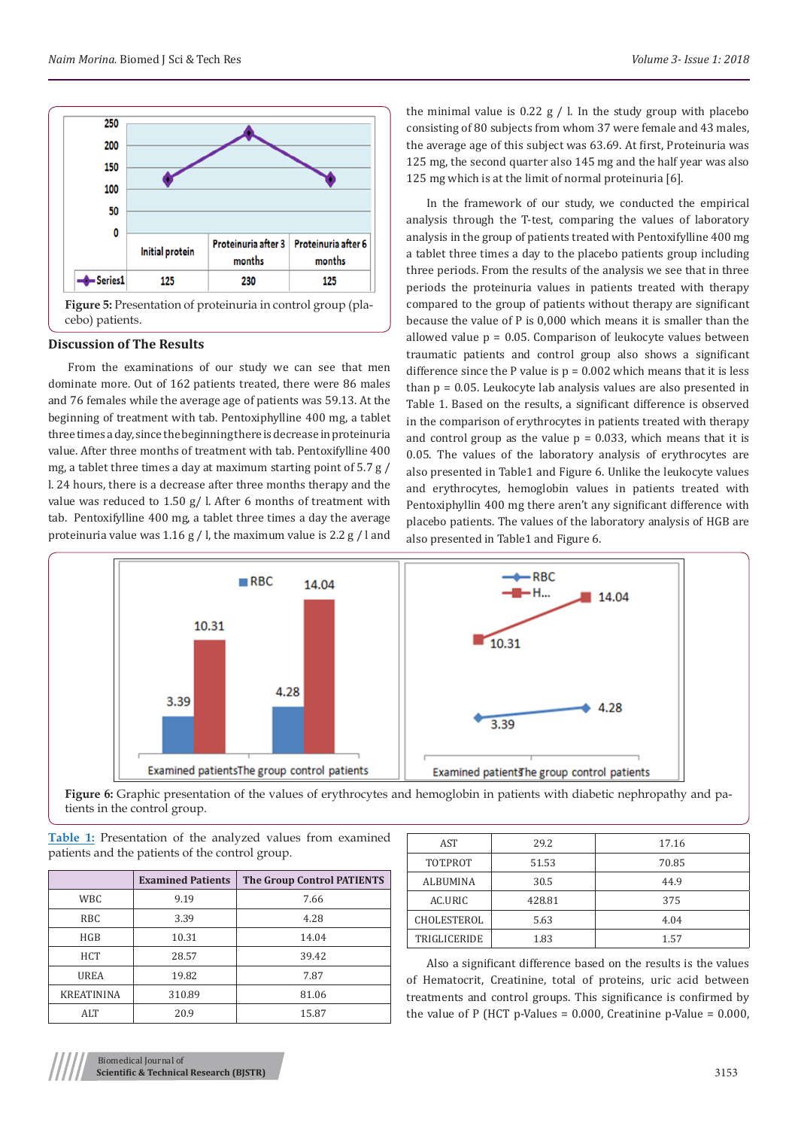

cebo) patients.

#### **Discussion of The Results**

From the examinations of our study we can see that men dominate more. Out of 162 patients treated, there were 86 males and 76 females while the average age of patients was 59.13. At the beginning of treatment with tab. Pentoxiphylline 400 mg, a tablet three times a day, since the beginning there is decrease in proteinuria value. After three months of treatment with tab. Pentoxifylline 400 mg, a tablet three times a day at maximum starting point of 5.7 g / l. 24 hours, there is a decrease after three months therapy and the value was reduced to 1.50 g/ l. After 6 months of treatment with tab. Pentoxifylline 400 mg, a tablet three times a day the average proteinuria value was 1.16 g / l, the maximum value is 2.2 g / l and

the minimal value is  $0.22$  g  $/$  l. In the study group with placebo consisting of 80 subjects from whom 37 were female and 43 males, the average age of this subject was 63.69. At first, Proteinuria was 125 mg, the second quarter also 145 mg and the half year was also 125 mg which is at the limit of normal proteinuria [6].

In the framework of our study, we conducted the empirical analysis through the T-test, comparing the values of laboratory analysis in the group of patients treated with Pentoxifylline 400 mg a tablet three times a day to the placebo patients group including three periods. From the results of the analysis we see that in three periods the proteinuria values in patients treated with therapy compared to the group of patients without therapy are significant because the value of P is 0,000 which means it is smaller than the allowed value  $p = 0.05$ . Comparison of leukocyte values between traumatic patients and control group also shows a significant difference since the P value is  $p = 0.002$  which means that it is less than p = 0.05. Leukocyte lab analysis values are also presented in Table 1. Based on the results, a significant difference is observed in the comparison of erythrocytes in patients treated with therapy and control group as the value  $p = 0.033$ , which means that it is 0.05. The values of the laboratory analysis of erythrocytes are also presented in Table1 and Figure 6. Unlike the leukocyte values and erythrocytes, hemoglobin values in patients treated with Pentoxiphyllin 400 mg there aren't any significant difference with placebo patients. The values of the laboratory analysis of HGB are also presented in Table1 and Figure 6.



Figure 6: Graphic presentation of the values of erythrocytes and hemoglobin in patients with diabetic nephropathy and patients in the control group.

|  |  |                                                 |  | Table 1: Presentation of the analyzed values from examined |
|--|--|-------------------------------------------------|--|------------------------------------------------------------|
|  |  | patients and the patients of the control group. |  |                                                            |

|                   | <b>Examined Patients</b> | The Group Control PATIENTS |
|-------------------|--------------------------|----------------------------|
| WBC.              | 9.19                     | 7.66                       |
| <b>RBC</b>        | 3.39                     | 4.28                       |
| HGB               | 10.31                    | 14.04                      |
| <b>HCT</b>        | 28.57                    | 39.42                      |
| <b>UREA</b>       | 19.82                    | 7.87                       |
| <b>KREATININA</b> | 310.89                   | 81.06                      |
| ALT               | 20.9                     | 15.87                      |

| AST             | 29.2   | 17.16 |
|-----------------|--------|-------|
| TOT.PROT        | 51.53  | 70.85 |
| <b>ALBUMINA</b> | 30.5   | 44.9  |
| AC.URIC         | 428.81 | 375   |
| CHOLESTEROL     | 5.63   | 4.04  |
| TRIGLICERIDE    | 1.83   | 1.57  |
|                 |        |       |

Also a significant difference based on the results is the values of Hematocrit, Creatinine, total of proteins, uric acid between treatments and control groups. This significance is confirmed by the value of P (HCT p-Values =  $0.000$ , Creatinine p-Value =  $0.000$ ,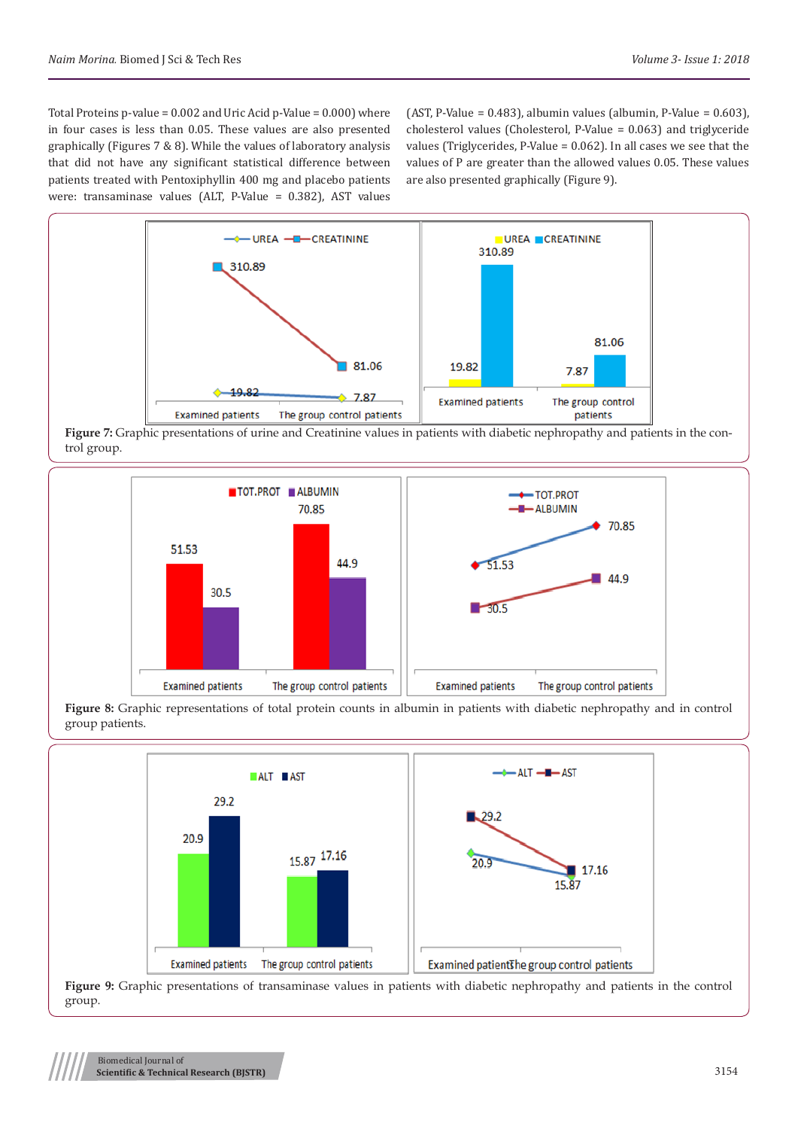Total Proteins p-value = 0.002 and Uric Acid p-Value = 0.000) where in four cases is less than 0.05. These values are also presented graphically (Figures 7 & 8). While the values of laboratory analysis that did not have any significant statistical difference between patients treated with Pentoxiphyllin 400 mg and placebo patients were: transaminase values (ALT, P-Value = 0.382), AST values

(AST, P-Value = 0.483), albumin values (albumin, P-Value = 0.603), cholesterol values (Cholesterol, P-Value = 0.063) and triglyceride values (Triglycerides, P-Value = 0.062). In all cases we see that the values of P are greater than the allowed values 0.05. These values are also presented graphically (Figure 9).



**Figure 7:** Graphic presentations of urine and Creatinine values in patients with diabetic nephropathy and patients in the control group.



**Figure 8:** Graphic representations of total protein counts in albumin in patients with diabetic nephropathy and in control group patients.



**Figure 9:** Graphic presentations of transaminase values in patients with diabetic nephropathy and patients in the control group.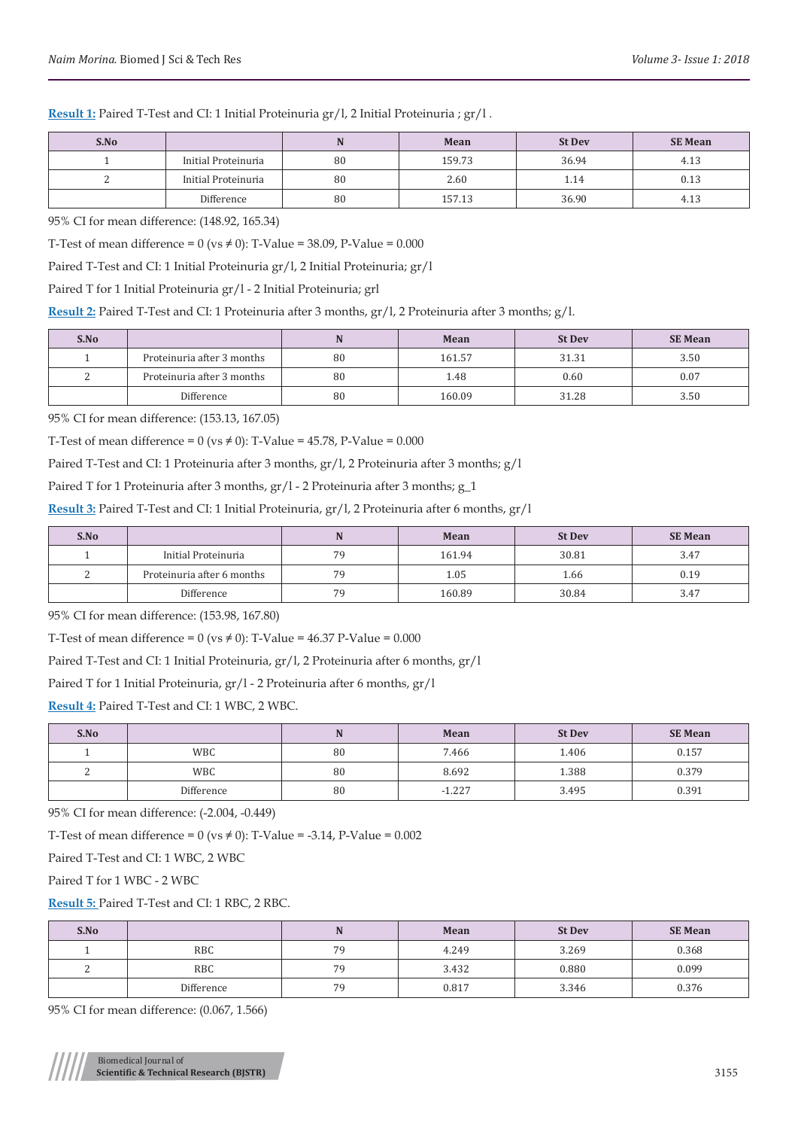**Result 1:** Paired T-Test and CI: 1 Initial Proteinuria gr/l, 2 Initial Proteinuria ; gr/l .

| S.No |                     |    | Mean   | <b>St Dev</b> | <b>SE Mean</b> |
|------|---------------------|----|--------|---------------|----------------|
|      | Initial Proteinuria | 80 | 159.73 | 36.94         | 4.13           |
|      | Initial Proteinuria | 80 | 2.60   | 1.14          | 0.13           |
|      | Difference          | 80 | 157.13 | 36.90         | 4.13           |

95% CI for mean difference: (148.92, 165.34)

T-Test of mean difference =  $0$  (vs  $\neq$  0): T-Value = 38.09, P-Value = 0.000

Paired T-Test and CI: 1 Initial Proteinuria gr/l, 2 Initial Proteinuria; gr/l

Paired T for 1 Initial Proteinuria gr/l - 2 Initial Proteinuria; grl

**Result 2:** Paired T-Test and CI: 1 Proteinuria after 3 months, gr/l, 2 Proteinuria after 3 months; g/l.

| S.No     |                            |    | Mean   | <b>St Dev</b> | <b>SE Mean</b> |
|----------|----------------------------|----|--------|---------------|----------------|
|          | Proteinuria after 3 months | 80 | 161.57 | 31.31         | 3.50           |
| <u>.</u> | Proteinuria after 3 months | 80 | 1.48   | 0.60          | 0.07           |
|          | Difference                 | 80 | 160.09 | 31.28         | 3.50           |

95% CI for mean difference: (153.13, 167.05)

T-Test of mean difference =  $0$  (vs  $\neq$  0): T-Value = 45.78, P-Value = 0.000

Paired T-Test and CI: 1 Proteinuria after 3 months, gr/l, 2 Proteinuria after 3 months; g/l

Paired T for 1 Proteinuria after 3 months, gr/l - 2 Proteinuria after 3 months; g\_1

**Result 3:** Paired T-Test and CI: 1 Initial Proteinuria, gr/l, 2 Proteinuria after 6 months, gr/l

| S.No   |                            |    | <b>Mean</b> | <b>St Dev</b> | <b>SE Mean</b> |
|--------|----------------------------|----|-------------|---------------|----------------|
|        | Initial Proteinuria        | 70 | 161.94      | 30.81         | 3.47           |
| ⌒<br>- | Proteinuria after 6 months | 70 | 1.05        | 1.66          | 0.19           |
|        | Difference                 | 79 | 160.89      | 30.84         | 3.47           |

95% CI for mean difference: (153.98, 167.80)

T-Test of mean difference =  $0$  ( $vs \neq 0$ ): T-Value = 46.37 P-Value = 0.000

Paired T-Test and CI: 1 Initial Proteinuria, gr/l, 2 Proteinuria after 6 months, gr/l

Paired T for 1 Initial Proteinuria, gr/l - 2 Proteinuria after 6 months, gr/l

**Result 4:** Paired T-Test and CI: 1 WBC, 2 WBC.

| S.No |            |    | Mean     | <b>St Dev</b> | <b>SE Mean</b> |
|------|------------|----|----------|---------------|----------------|
|      | <b>WBC</b> | 80 | 7.466    | 1.406         | 0.157          |
|      | <b>WBC</b> | 80 | 8.692    | 1.388         | 0.379          |
|      | Difference | 80 | $-1.227$ | 3.495         | 0.391          |

95% CI for mean difference: (-2.004, -0.449)

T-Test of mean difference =  $0$  (vs  $\neq$  0): T-Value = -3.14, P-Value = 0.002

Paired T-Test and CI: 1 WBC, 2 WBC

Paired T for 1 WBC - 2 WBC

**Result 5:** Paired T-Test and CI: 1 RBC, 2 RBC.

| S.No |            |    | Mean  | <b>St Dev</b> | <b>SE Mean</b> |
|------|------------|----|-------|---------------|----------------|
|      | <b>RBC</b> | 79 | 4.249 | 3.269         | 0.368          |
| -    | <b>RBC</b> | 79 | 3.432 | 0.880         | 0.099          |
|      | Difference | 79 | 0.817 | 3.346         | 0.376          |

95% CI for mean difference: (0.067, 1.566)

Biomedical Journal of **Scientific & Technical Research (BJSTR)** 3155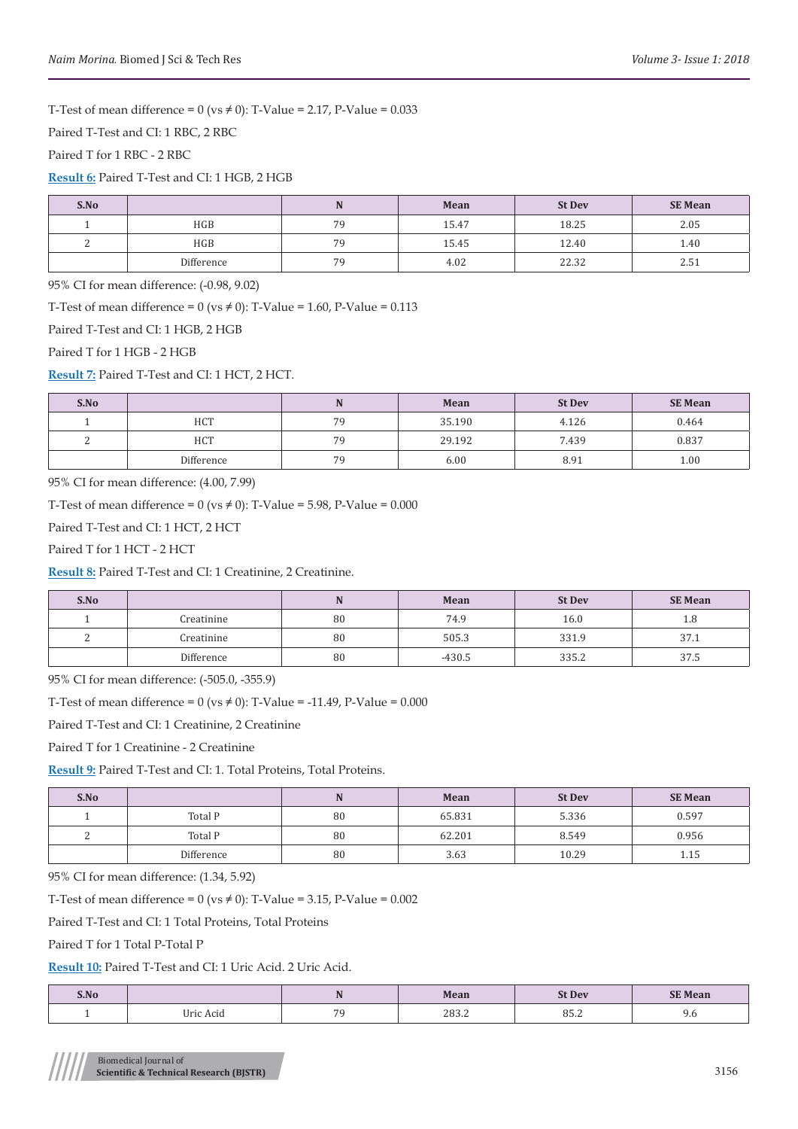T-Test of mean difference =  $0$  (vs  $\neq$  0): T-Value = 2.17, P-Value = 0.033

Paired T-Test and CI: 1 RBC, 2 RBC

Paired T for 1 RBC - 2 RBC

**Result 6:** Paired T-Test and CI: 1 HGB, 2 HGB

| S.No |            |    | Mean  | <b>St Dev</b> | <b>SE Mean</b> |
|------|------------|----|-------|---------------|----------------|
|      | HGB        | 70 | 15.47 | 18.25         | 2.05           |
| ∼    | HGB        | 70 | 15.45 | 12.40         | 1.40           |
|      | Difference | 70 | 4.02  | 22.32         | 4.5 L          |

95% CI for mean difference: (-0.98, 9.02)

T-Test of mean difference =  $0$  (vs  $\neq$  0): T-Value = 1.60, P-Value = 0.113

Paired T-Test and CI: 1 HGB, 2 HGB

Paired T for 1 HGB - 2 HGB

**Result 7:** Paired T-Test and CI: 1 HCT, 2 HCT.

| S.No |            |    | Mean   | <b>St Dev</b> | <b>SE Mean</b> |
|------|------------|----|--------|---------------|----------------|
|      | <b>HCT</b> | 70 | 35.190 | 4.126         | 0.464          |
| ∼    | <b>HCT</b> | 70 | 29.192 | 7.439         | 0.837          |
|      | Difference | 70 | 6.00   | 8.91          | 1.00           |

95% CI for mean difference: (4.00, 7.99)

T-Test of mean difference =  $0$  (vs  $\neq$  0): T-Value = 5.98, P-Value = 0.000

Paired T-Test and CI: 1 HCT, 2 HCT

Paired T for 1 HCT - 2 HCT

**Result 8:** Paired T-Test and CI: 1 Creatinine, 2 Creatinine.

| S.No |            |    | Mean     | <b>St Dev</b> | <b>SE Mean</b> |
|------|------------|----|----------|---------------|----------------|
|      | Creatinine | 80 | 74.9     | 16.0          | 1.8            |
| ∼    | Creatinine | 80 | 505.3    | 331.9         | 37.1           |
|      | Difference | 80 | $-430.5$ | 335.2         | 37.5           |

95% CI for mean difference: (-505.0, -355.9)

T-Test of mean difference =  $0$  (vs  $\neq$  0): T-Value = -11.49, P-Value = 0.000

Paired T-Test and CI: 1 Creatinine, 2 Creatinine

Paired T for 1 Creatinine - 2 Creatinine

**Result 9:** Paired T-Test and CI: 1. Total Proteins, Total Proteins.

| S.No |            |    | Mean   | <b>St Dev</b> | <b>SE Mean</b> |
|------|------------|----|--------|---------------|----------------|
|      | Total P    | 80 | 65.831 | 5.336         | 0.597          |
| ∼    | Total P    | 80 | 62.201 | 8.549         | 0.956          |
|      | Difference | 80 | 3.63   | 10.29         | 1.15           |

95% CI for mean difference: (1.34, 5.92)

T-Test of mean difference =  $0$  (vs  $\neq$  0): T-Value = 3.15, P-Value = 0.002

Paired T-Test and CI: 1 Total Proteins, Total Proteins

Paired T for 1 Total P-Total P

**Result 10:** Paired T-Test and CI: 1 Uric Acid. 2 Uric Acid.

| S.No |                     | $\sim$                   | Mean         | st Dev |     |
|------|---------------------|--------------------------|--------------|--------|-----|
|      | $1 - 1$<br>$\Delta$ | $\overline{\phantom{a}}$ | າດາ<br>400.4 | 00.Z   | 7.0 |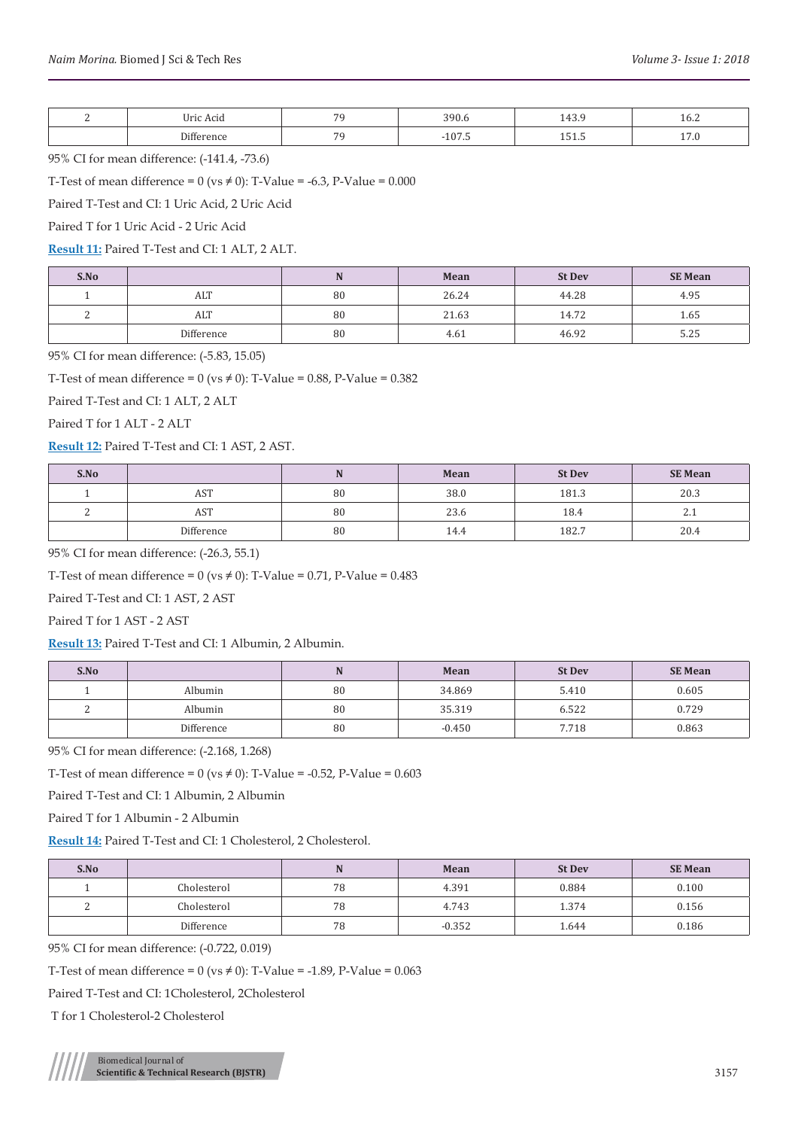| Iric Acid     | $\overline{ }$ | U.U                   | $\sim$<br>1 T.J. . | 16.2                           |
|---------------|----------------|-----------------------|--------------------|--------------------------------|
| $\sim$ $\sim$ | $\sim$         | $\sim$ $ -$<br>$\sim$ | 101.U<br>____      | <b>17.V</b><br>$- \cdot \cdot$ |

95% CI for mean difference: (-141.4, -73.6)

T-Test of mean difference =  $0$  (vs  $\neq$  0): T-Value = -6.3, P-Value = 0.000

Paired T-Test and CI: 1 Uric Acid, 2 Uric Acid

Paired T for 1 Uric Acid - 2 Uric Acid

**Result 11:** Paired T-Test and CI: 1 ALT, 2 ALT.

| S.No |            |    | Mean  | <b>St Dev</b> | <b>SE Mean</b> |
|------|------------|----|-------|---------------|----------------|
|      | ALT        | 80 | 26.24 | 44.28         | 4.95           |
|      | ALT        | 80 | 21.63 | 14.72         | 1.65           |
|      | Difference | 80 | 4.61  | 46.92         | 5.25           |

95% CI for mean difference: (-5.83, 15.05)

T-Test of mean difference =  $0$  (vs  $\neq$  0): T-Value = 0.88, P-Value = 0.382

Paired T-Test and CI: 1 ALT, 2 ALT

Paired T for 1 ALT - 2 ALT

**Result 12:** Paired T-Test and CI: 1 AST, 2 AST.

| S.No |            |    | Mean | <b>St Dev</b> | <b>SE Mean</b>    |
|------|------------|----|------|---------------|-------------------|
|      | AST        | 80 | 38.0 | 181.3         | 20.3              |
| -    | AST        | 80 | 23.6 | 18.4          | $\mathcal{L}$ . 1 |
|      | Difference | 80 | 14.4 | 182.7         | 20.4              |

95% CI for mean difference: (-26.3, 55.1)

T-Test of mean difference =  $0$  (vs  $\neq$  0): T-Value = 0.71, P-Value = 0.483

Paired T-Test and CI: 1 AST, 2 AST

Paired T for 1 AST - 2 AST

**Result 13:** Paired T-Test and CI: 1 Albumin, 2 Albumin.

| S.No |            |    | Mean     | <b>St Dev</b> | <b>SE Mean</b> |
|------|------------|----|----------|---------------|----------------|
|      | Albumin    | 80 | 34.869   | 5.410         | 0.605          |
| -    | Albumin    | 80 | 35.319   | 6.522         | 0.729          |
|      | Difference | 80 | $-0.450$ | 7.718         | 0.863          |

95% CI for mean difference: (-2.168, 1.268)

T-Test of mean difference =  $0$  (vs  $\neq$  0): T-Value = -0.52, P-Value = 0.603

Paired T-Test and CI: 1 Albumin, 2 Albumin

Paired T for 1 Albumin - 2 Albumin

**Result 14:** Paired T-Test and CI: 1 Cholesterol, 2 Cholesterol.

| S.No   |             |    | Mean     | <b>St Dev</b> | <b>SE Mean</b> |
|--------|-------------|----|----------|---------------|----------------|
|        | Cholesterol | 78 | 4.391    | 0.884         | 0.100          |
| ໍ<br>- | Cholesterol | 78 | 4.743    | 1.374         | 0.156          |
|        | Difference  | 78 | $-0.352$ | 1.644         | 0.186          |

95% CI for mean difference: (-0.722, 0.019)

T-Test of mean difference =  $0$  (vs  $\neq$  0): T-Value = -1.89, P-Value = 0.063

Paired T-Test and CI: 1Cholesterol, 2Cholesterol

T for 1 Cholesterol-2 Cholesterol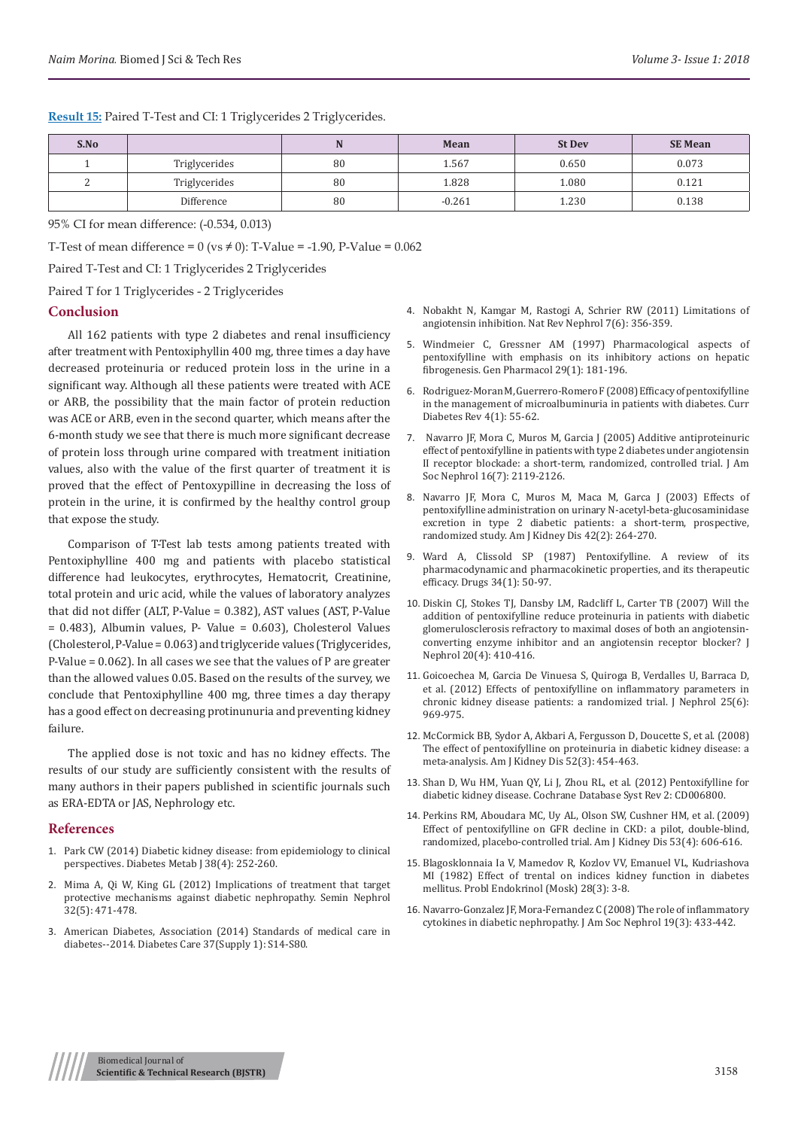| S.No |               |    | Mean     | <b>St Dev</b> | <b>SE Mean</b> |
|------|---------------|----|----------|---------------|----------------|
|      | Triglycerides | 80 | 1.567    | 0.650         | 0.073          |
|      | Triglycerides | 80 | 1.828    | 1.080         | 0.121          |
|      | Difference    | 80 | $-0.261$ | 1.230         | 0.138          |

**Result 15:** Paired T-Test and CI: 1 Triglycerides 2 Triglycerides.

95% CI for mean difference: (-0.534, 0.013)

T-Test of mean difference =  $0$  (vs  $\neq$  0): T-Value = -1.90, P-Value = 0.062

Paired T-Test and CI: 1 Triglycerides 2 Triglycerides

Paired T for 1 Triglycerides - 2 Triglycerides

## **Conclusion**

All 162 patients with type 2 diabetes and renal insufficiency after treatment with Pentoxiphyllin 400 mg, three times a day have decreased proteinuria or reduced protein loss in the urine in a significant way. Although all these patients were treated with ACE or ARB, the possibility that the main factor of protein reduction was ACE or ARB, even in the second quarter, which means after the 6-month study we see that there is much more significant decrease of protein loss through urine compared with treatment initiation values, also with the value of the first quarter of treatment it is proved that the effect of Pentoxypilline in decreasing the loss of protein in the urine, it is confirmed by the healthy control group that expose the study.

Comparison of T-Test lab tests among patients treated with Pentoxiphylline 400 mg and patients with placebo statistical difference had leukocytes, erythrocytes, Hematocrit, Creatinine, total protein and uric acid, while the values of laboratory analyzes that did not differ (ALT, P-Value = 0.382), AST values (AST, P-Value = 0.483), Albumin values, P- Value = 0.603), Cholesterol Values (Cholesterol, P-Value = 0.063) and triglyceride values (Triglycerides, P-Value = 0.062). In all cases we see that the values of P are greater than the allowed values 0.05. Based on the results of the survey, we conclude that Pentoxiphylline 400 mg, three times a day therapy has a good effect on decreasing protinunuria and preventing kidney failure.

The applied dose is not toxic and has no kidney effects. The results of our study are sufficiently consistent with the results of many authors in their papers published in scientific journals such as ERA-EDTA or JAS, Nephrology etc.

## **References**

- 1. [Park CW \(2014\) Diabetic kidney disease: from epidemiology to clinical](https://www.ncbi.nlm.nih.gov/pubmed/25215271)  [perspectives. Diabetes Metab J 38\(4\): 252-260.](https://www.ncbi.nlm.nih.gov/pubmed/25215271)
- 2. [Mima A, Qi W, King GL \(2012\) Implications of treatment that target](https://www.ncbi.nlm.nih.gov/pmc/articles/PMC3584697/)  [protective mechanisms against diabetic nephropathy. Semin Nephrol](https://www.ncbi.nlm.nih.gov/pmc/articles/PMC3584697/)  [32\(5\): 471-478.](https://www.ncbi.nlm.nih.gov/pmc/articles/PMC3584697/)
- 3. [American Diabetes, Association \(2014\) Standards of medical care in](http://care.diabetesjournals.org/content/37/Supplement_1/S14)  [diabetes--2014. Diabetes Care 37\(Supply 1\): S14-S80.](http://care.diabetesjournals.org/content/37/Supplement_1/S14)
- 4. [Nobakht N, Kamgar M, Rastogi A, Schrier RW \(2011\) Limitations of](https://www.ncbi.nlm.nih.gov/pubmed/21502972) [angiotensin inhibition. Nat Rev Nephrol 7\(6\): 356-359.](https://www.ncbi.nlm.nih.gov/pubmed/21502972)
- 5. [Windmeier C, Gressner AM \(1997\) Pharmacological aspects of](https://www.ncbi.nlm.nih.gov/pubmed/9251897) [pentoxifylline with emphasis on its inhibitory actions on hepatic](https://www.ncbi.nlm.nih.gov/pubmed/9251897) [fibrogenesis. Gen Pharmacol 29\(1\): 181-196.](https://www.ncbi.nlm.nih.gov/pubmed/9251897)
- 6. [Rodriguez-Moran M, Guerrero-Romero F \(2008\) Efficacy of pentoxifylline](https://www.ncbi.nlm.nih.gov/pubmed/18220696) [in the management of microalbuminuria in patients with diabetes. Curr](https://www.ncbi.nlm.nih.gov/pubmed/18220696) [Diabetes Rev 4\(1\): 55-62.](https://www.ncbi.nlm.nih.gov/pubmed/18220696)
- 7. [Navarro JF, Mora C, Muros M, Garcia J \(2005\) Additive antiproteinuric](https://www.ncbi.nlm.nih.gov/pubmed/15917336) [effect of pentoxifylline in patients with type 2 diabetes under angiotensin](https://www.ncbi.nlm.nih.gov/pubmed/15917336) [II receptor blockade: a short-term, randomized, controlled trial. J Am](https://www.ncbi.nlm.nih.gov/pubmed/15917336) [Soc Nephrol 16\(7\): 2119-2126.](https://www.ncbi.nlm.nih.gov/pubmed/15917336)
- 8. [Navarro JF, Mora C, Muros M, Maca M, Garca J \(2003\) Effects of](https://www.ncbi.nlm.nih.gov/pubmed/12900807) [pentoxifylline administration on urinary N-acetyl-beta-glucosaminidase](https://www.ncbi.nlm.nih.gov/pubmed/12900807) [excretion in type 2 diabetic patients: a short-term, prospective,](https://www.ncbi.nlm.nih.gov/pubmed/12900807) [randomized study. Am J Kidney Dis 42\(2\): 264-270.](https://www.ncbi.nlm.nih.gov/pubmed/12900807)
- 9. [Ward A, Clissold SP \(1987\) Pentoxifylline. A review of its](https://www.ncbi.nlm.nih.gov/pubmed/3308412) [pharmacodynamic and pharmacokinetic properties, and its therapeutic](https://www.ncbi.nlm.nih.gov/pubmed/3308412) [efficacy. Drugs 34\(1\): 50-97.](https://www.ncbi.nlm.nih.gov/pubmed/3308412)
- 10. [Diskin CJ, Stokes TJ, Dansby LM, Radcliff L, Carter TB \(2007\) Will the](https://www.ncbi.nlm.nih.gov/pubmed/17879206) [addition of pentoxifylline reduce proteinuria in patients with diabetic](https://www.ncbi.nlm.nih.gov/pubmed/17879206) [glomerulosclerosis refractory to maximal doses of both an angiotensin](https://www.ncbi.nlm.nih.gov/pubmed/17879206)[converting enzyme inhibitor and an angiotensin receptor blocker? J](https://www.ncbi.nlm.nih.gov/pubmed/17879206) [Nephrol 20\(4\): 410-416.](https://www.ncbi.nlm.nih.gov/pubmed/17879206)
- 11. [Goicoechea M, Garcia De Vinuesa S, Quiroga B, Verdalles U, Barraca D,](https://www.ncbi.nlm.nih.gov/pubmed/22241639) [et al. \(2012\) Effects of pentoxifylline on inflammatory parameters in](https://www.ncbi.nlm.nih.gov/pubmed/22241639) [chronic kidney disease patients: a randomized trial. J Nephrol 25\(6\):](https://www.ncbi.nlm.nih.gov/pubmed/22241639) [969-975.](https://www.ncbi.nlm.nih.gov/pubmed/22241639)
- 12. [McCormick BB, Sydor A, Akbari A, Fergusson D, Doucette S, et al. \(2008\)](https://www.ncbi.nlm.nih.gov/pubmed/18433957) [The effect of pentoxifylline on proteinuria in diabetic kidney disease: a](https://www.ncbi.nlm.nih.gov/pubmed/18433957) [meta-analysis. Am J Kidney Dis 52\(3\): 454-463.](https://www.ncbi.nlm.nih.gov/pubmed/18433957)
- 13. [Shan D, Wu HM, Yuan QY, Li J, Zhou RL, et al. \(2012\) Pentoxifylline for](https://www.ncbi.nlm.nih.gov/pubmed/22336824) [diabetic kidney disease. Cochrane Database Syst Rev 2: CD006800.](https://www.ncbi.nlm.nih.gov/pubmed/22336824)
- 14. [Perkins RM, Aboudara MC, Uy AL, Olson SW, Cushner HM, et al. \(2009\)](https://www.ncbi.nlm.nih.gov/pubmed/19216016) [Effect of pentoxifylline on GFR decline in CKD: a pilot, double-blind,](https://www.ncbi.nlm.nih.gov/pubmed/19216016) [randomized, placebo-controlled trial. Am J Kidney Dis 53\(4\): 606-616.](https://www.ncbi.nlm.nih.gov/pubmed/19216016)
- 15. [Blagosklonnaia Ia V, Mamedov R, Kozlov VV, Emanuel VL, Kudriashova](https://www.ncbi.nlm.nih.gov/pubmed/7100130) [MI \(1982\) Effect of trental on indices kidney function in diabetes](https://www.ncbi.nlm.nih.gov/pubmed/7100130) [mellitus. Probl Endokrinol \(Mosk\) 28\(3\): 3-8.](https://www.ncbi.nlm.nih.gov/pubmed/7100130)
- 16. [Navarro-Gonzalez JF, Mora-Fernandez C \(2008\) The role of inflammatory](https://www.ncbi.nlm.nih.gov/pubmed/18256353) [cytokines in diabetic nephropathy. J Am Soc Nephrol 19\(3\): 433-442.](https://www.ncbi.nlm.nih.gov/pubmed/18256353)